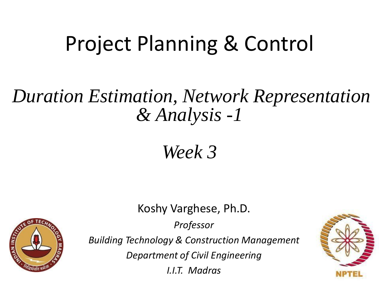## Project Planning & Control

#### *Duration Estimation, Network Representation & Analysis -1*

#### *Week 3*

Koshy Varghese, Ph.D.

*Professor*



*Building Technology & Construction Management*

*Department of Civil Engineering*

*I.I.T. Madras*

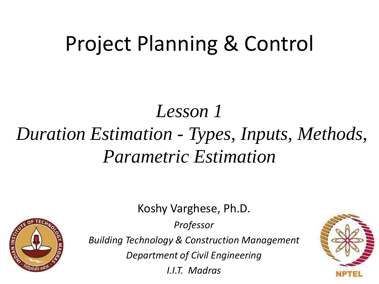## Project Planning & Control

### *Lesson 1 Duration Estimation - Types, Inputs, Methods, Parametric Estimation*

Koshy Varghese, Ph.D.

*Professor*



*Building Technology & Construction Management*

*Department of Civil Engineering*

*I.I.T. Madras*

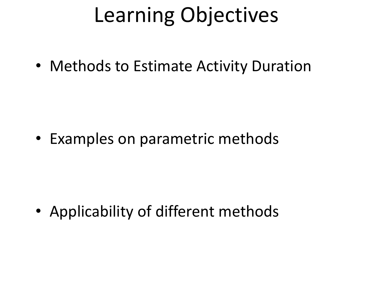## Learning Objectives

• Methods to Estimate Activity Duration

• Examples on parametric methods

• Applicability of different methods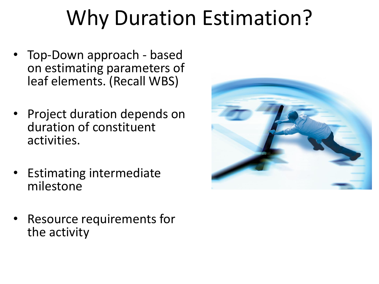# Why Duration Estimation?

- Top-Down approach based on estimating parameters of leaf elements. (Recall WBS)
- Project duration depends on duration of constituent activities.
- Estimating intermediate milestone
- Resource requirements for the activity

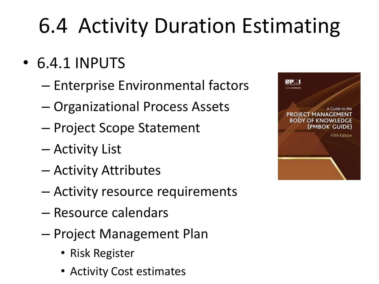# 6.4 Activity Duration Estimating

- 6.4.1 INPUTS
	- Enterprise Environmental factors
	- Organizational Process Assets
	- Project Scope Statement
	- Activity List
	- Activity Attributes
	- Activity resource requirements
	- Resource calendars
	- Project Management Plan
		- Risk Register
		- Activity Cost estimates

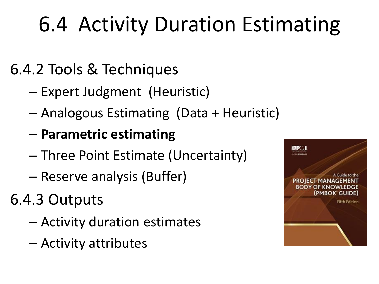# 6.4 Activity Duration Estimating

#### 6.4.2 Tools & Techniques

- Expert Judgment (Heuristic)
- Analogous Estimating (Data + Heuristic)
- **Parametric estimating**
- Three Point Estimate (Uncertainty)
- Reserve analysis (Buffer)
- 6.4.3 Outputs
	- Activity duration estimates
	- Activity attributes

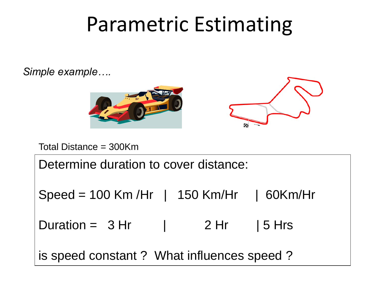### Parametric Estimating

*Simple example….*



Total Distance = 300Km

Determine duration to cover distance: Speed = 100 Km /Hr | 150 Km/Hr | 60Km/Hr Duration =  $3 Hr$  |  $2 Hr$  |  $5 Hrs$ is speed constant ? What influences speed ?